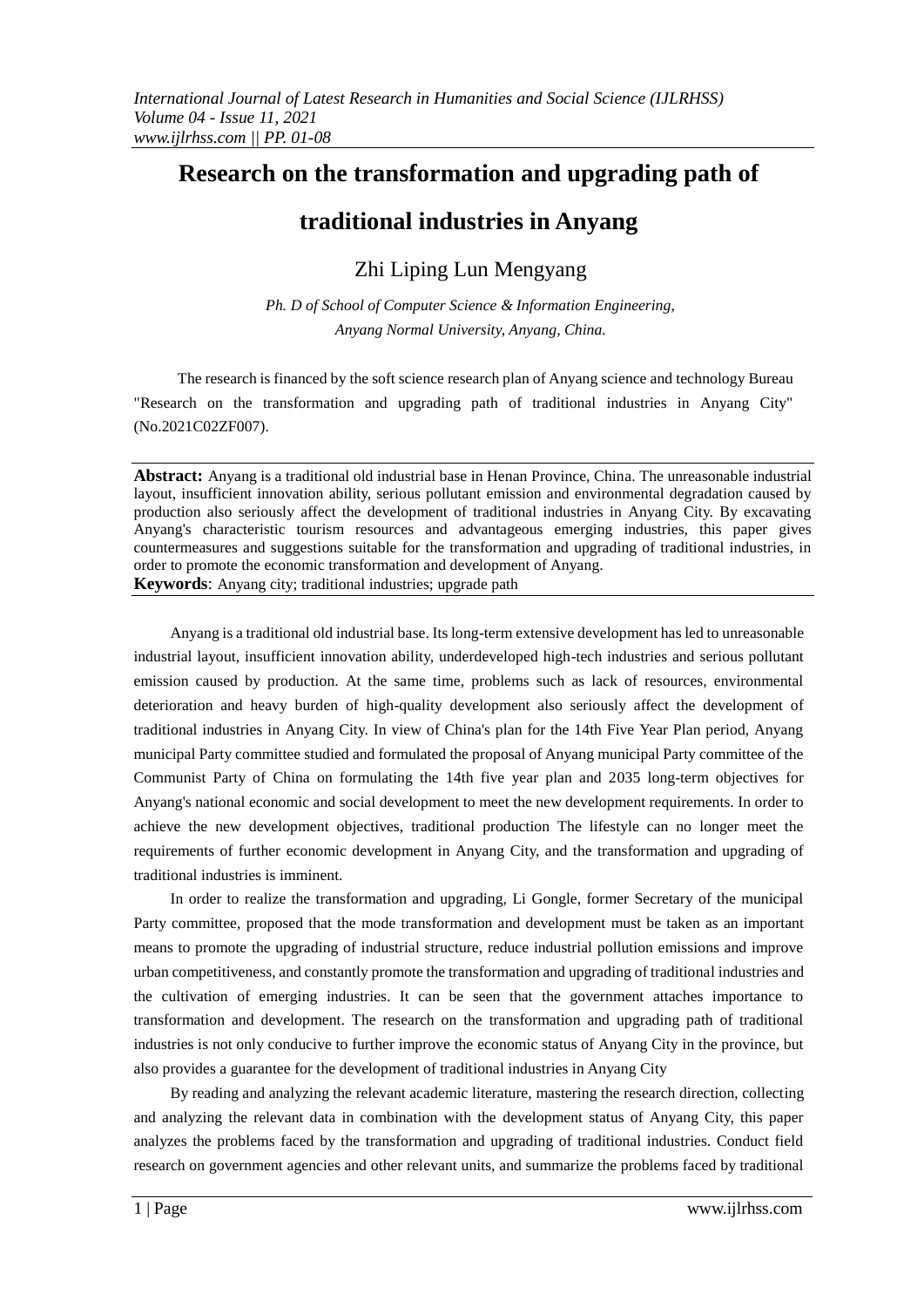# **Research on the transformation and upgrading path of**

## **traditional industries in Anyang**

Zhi Liping Lun Mengyang

*Ph. D of School of Computer Science & Information Engineering, Anyang Normal University, Anyang, China.*

The research is financed by the soft science research plan of Anyang science and technology Bureau "Research on the transformation and upgrading path of traditional industries in Anyang City" (No.2021C02ZF007).

**Abstract:** Anyang is a traditional old industrial base in Henan Province, China. The unreasonable industrial layout, insufficient innovation ability, serious pollutant emission and environmental degradation caused by production also seriously affect the development of traditional industries in Anyang City. By excavating Anyang's characteristic tourism resources and advantageous emerging industries, this paper gives countermeasures and suggestions suitable for the transformation and upgrading of traditional industries, in order to promote the economic transformation and development of Anyang. **Keywords**: Anyang city; traditional industries; upgrade path

Anyang is a traditional old industrial base. Its long-term extensive development has led to unreasonable industrial layout, insufficient innovation ability, underdeveloped high-tech industries and serious pollutant emission caused by production. At the same time, problems such as lack of resources, environmental deterioration and heavy burden of high-quality development also seriously affect the development of traditional industries in Anyang City. In view of China's plan for the 14th Five Year Plan period, Anyang municipal Party committee studied and formulated the proposal of Anyang municipal Party committee of the Communist Party of China on formulating the 14th five year plan and 2035 long-term objectives for Anyang's national economic and social development to meet the new development requirements. In order to achieve the new development objectives, traditional production The lifestyle can no longer meet the requirements of further economic development in Anyang City, and the transformation and upgrading of traditional industries is imminent.

In order to realize the transformation and upgrading, Li Gongle, former Secretary of the municipal Party committee, proposed that the mode transformation and development must be taken as an important means to promote the upgrading of industrial structure, reduce industrial pollution emissions and improve urban competitiveness, and constantly promote the transformation and upgrading of traditional industries and the cultivation of emerging industries. It can be seen that the government attaches importance to transformation and development. The research on the transformation and upgrading path of traditional industries is not only conducive to further improve the economic status of Anyang City in the province, but also provides a guarantee for the development of traditional industries in Anyang City

By reading and analyzing the relevant academic literature, mastering the research direction, collecting and analyzing the relevant data in combination with the development status of Anyang City, this paper analyzes the problems faced by the transformation and upgrading of traditional industries. Conduct field research on government agencies and other relevant units, and summarize the problems faced by traditional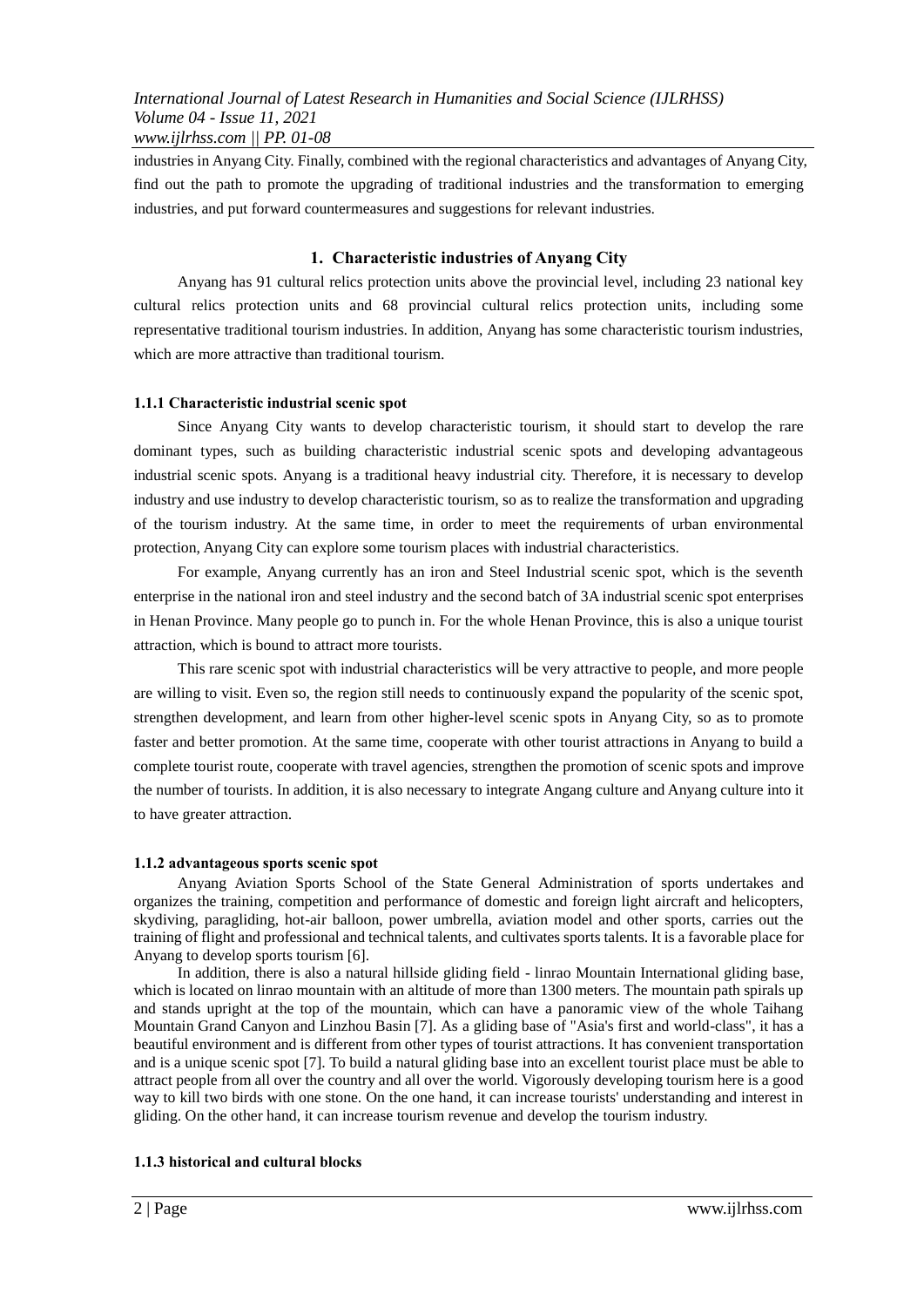industries in Anyang City. Finally, combined with the regional characteristics and advantages of Anyang City, find out the path to promote the upgrading of traditional industries and the transformation to emerging industries, and put forward countermeasures and suggestions for relevant industries.

## **1. Characteristic industries of Anyang City**

Anyang has 91 cultural relics protection units above the provincial level, including 23 national key cultural relics protection units and 68 provincial cultural relics protection units, including some representative traditional tourism industries. In addition, Anyang has some characteristic tourism industries, which are more attractive than traditional tourism.

## **1.1.1 Characteristic industrial scenic spot**

Since Anyang City wants to develop characteristic tourism, it should start to develop the rare dominant types, such as building characteristic industrial scenic spots and developing advantageous industrial scenic spots. Anyang is a traditional heavy industrial city. Therefore, it is necessary to develop industry and use industry to develop characteristic tourism, so as to realize the transformation and upgrading of the tourism industry. At the same time, in order to meet the requirements of urban environmental protection, Anyang City can explore some tourism places with industrial characteristics.

For example, Anyang currently has an iron and Steel Industrial scenic spot, which is the seventh enterprise in the national iron and steel industry and the second batch of 3A industrial scenic spot enterprises in Henan Province. Many people go to punch in. For the whole Henan Province, this is also a unique tourist attraction, which is bound to attract more tourists.

This rare scenic spot with industrial characteristics will be very attractive to people, and more people are willing to visit. Even so, the region still needs to continuously expand the popularity of the scenic spot, strengthen development, and learn from other higher-level scenic spots in Anyang City, so as to promote faster and better promotion. At the same time, cooperate with other tourist attractions in Anyang to build a complete tourist route, cooperate with travel agencies, strengthen the promotion of scenic spots and improve the number of tourists. In addition, it is also necessary to integrate Angang culture and Anyang culture into it to have greater attraction.

#### **1.1.2 advantageous sports scenic spot**

Anyang Aviation Sports School of the State General Administration of sports undertakes and organizes the training, competition and performance of domestic and foreign light aircraft and helicopters, skydiving, paragliding, hot-air balloon, power umbrella, aviation model and other sports, carries out the training of flight and professional and technical talents, and cultivates sports talents. It is a favorable place for Anyang to develop sports tourism [6].

In addition, there is also a natural hillside gliding field - linrao Mountain International gliding base, which is located on linrao mountain with an altitude of more than 1300 meters. The mountain path spirals up and stands upright at the top of the mountain, which can have a panoramic view of the whole Taihang Mountain Grand Canyon and Linzhou Basin [7]. As a gliding base of "Asia's first and world-class", it has a beautiful environment and is different from other types of tourist attractions. It has convenient transportation and is a unique scenic spot [7]. To build a natural gliding base into an excellent tourist place must be able to attract people from all over the country and all over the world. Vigorously developing tourism here is a good way to kill two birds with one stone. On the one hand, it can increase tourists' understanding and interest in gliding. On the other hand, it can increase tourism revenue and develop the tourism industry.

#### **1.1.3 historical and cultural blocks**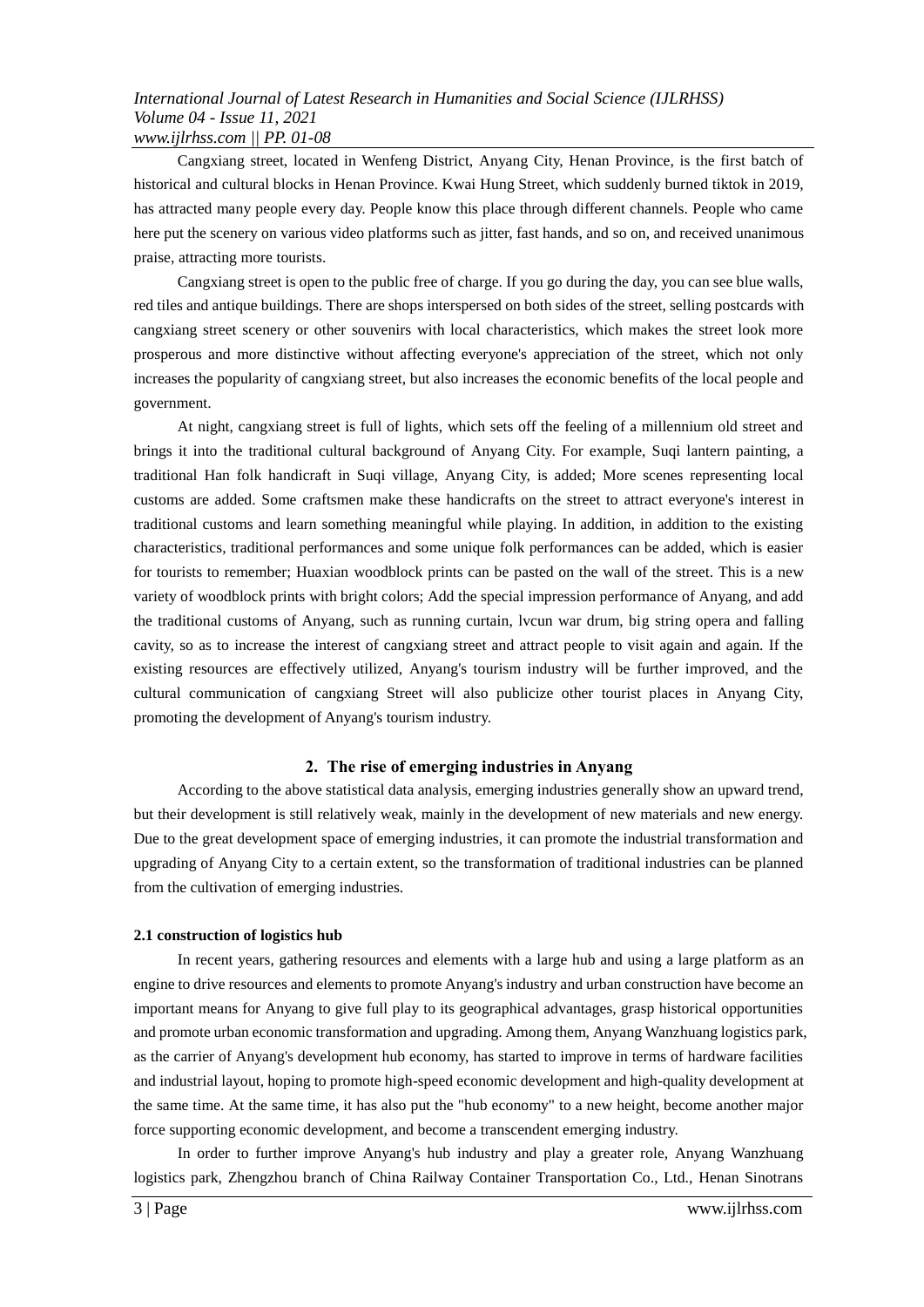Cangxiang street, located in Wenfeng District, Anyang City, Henan Province, is the first batch of historical and cultural blocks in Henan Province. Kwai Hung Street, which suddenly burned tiktok in 2019, has attracted many people every day. People know this place through different channels. People who came here put the scenery on various video platforms such as jitter, fast hands, and so on, and received unanimous praise, attracting more tourists.

Cangxiang street is open to the public free of charge. If you go during the day, you can see blue walls, red tiles and antique buildings. There are shops interspersed on both sides of the street, selling postcards with cangxiang street scenery or other souvenirs with local characteristics, which makes the street look more prosperous and more distinctive without affecting everyone's appreciation of the street, which not only increases the popularity of cangxiang street, but also increases the economic benefits of the local people and government.

At night, cangxiang street is full of lights, which sets off the feeling of a millennium old street and brings it into the traditional cultural background of Anyang City. For example, Suqi lantern painting, a traditional Han folk handicraft in Suqi village, Anyang City, is added; More scenes representing local customs are added. Some craftsmen make these handicrafts on the street to attract everyone's interest in traditional customs and learn something meaningful while playing. In addition, in addition to the existing characteristics, traditional performances and some unique folk performances can be added, which is easier for tourists to remember; Huaxian woodblock prints can be pasted on the wall of the street. This is a new variety of woodblock prints with bright colors; Add the special impression performance of Anyang, and add the traditional customs of Anyang, such as running curtain, lvcun war drum, big string opera and falling cavity, so as to increase the interest of cangxiang street and attract people to visit again and again. If the existing resources are effectively utilized, Anyang's tourism industry will be further improved, and the cultural communication of cangxiang Street will also publicize other tourist places in Anyang City, promoting the development of Anyang's tourism industry.

#### **2. The rise of emerging industries in Anyang**

According to the above statistical data analysis, emerging industries generally show an upward trend, but their development is still relatively weak, mainly in the development of new materials and new energy. Due to the great development space of emerging industries, it can promote the industrial transformation and upgrading of Anyang City to a certain extent, so the transformation of traditional industries can be planned from the cultivation of emerging industries.

### **2.1 construction of logistics hub**

In recent years, gathering resources and elements with a large hub and using a large platform as an engine to drive resources and elements to promote Anyang's industry and urban construction have become an important means for Anyang to give full play to its geographical advantages, grasp historical opportunities and promote urban economic transformation and upgrading. Among them, Anyang Wanzhuang logistics park, as the carrier of Anyang's development hub economy, has started to improve in terms of hardware facilities and industrial layout, hoping to promote high-speed economic development and high-quality development at the same time. At the same time, it has also put the "hub economy" to a new height, become another major force supporting economic development, and become a transcendent emerging industry.

In order to further improve Anyang's hub industry and play a greater role, Anyang Wanzhuang logistics park, Zhengzhou branch of China Railway Container Transportation Co., Ltd., Henan Sinotrans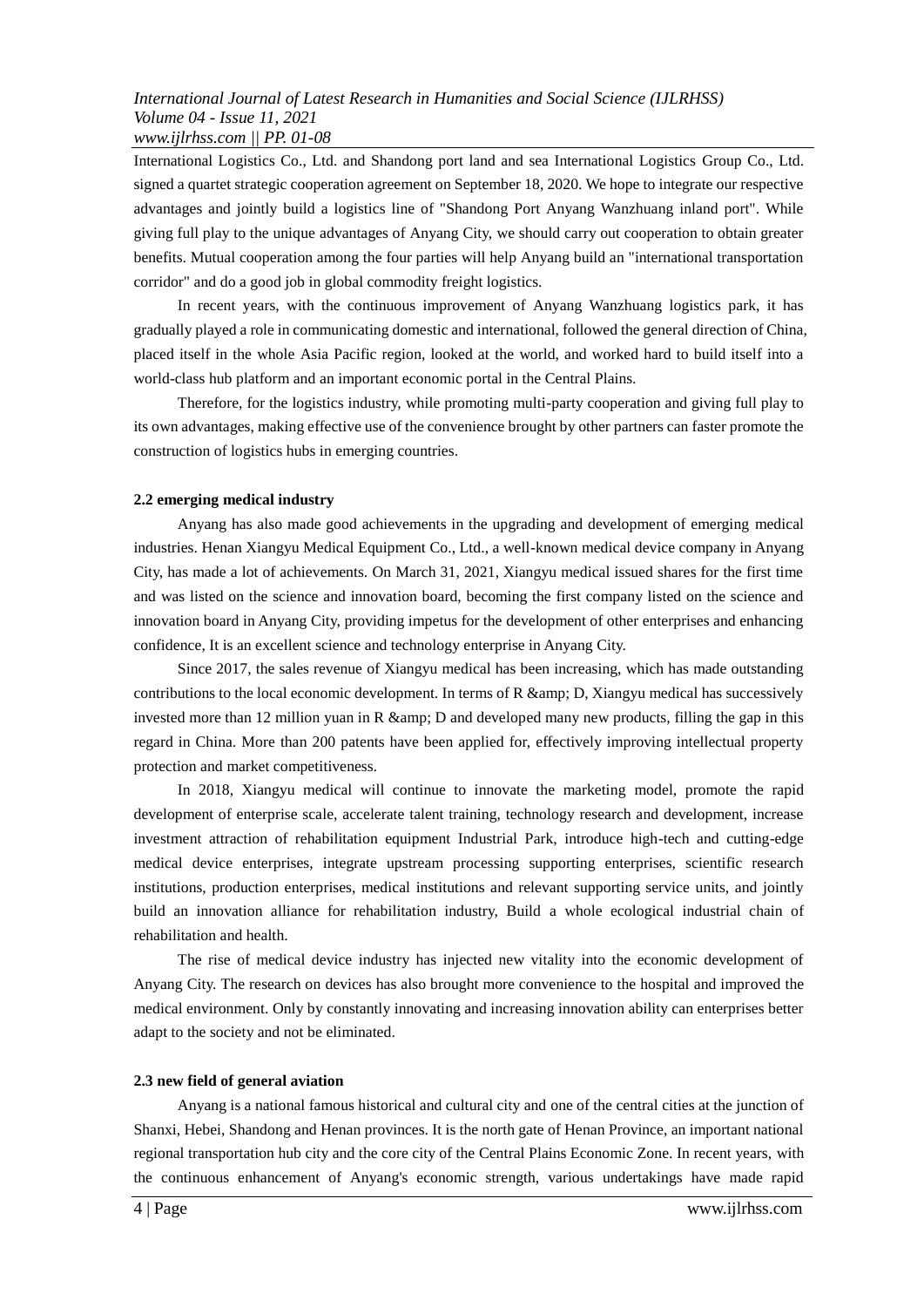International Logistics Co., Ltd. and Shandong port land and sea International Logistics Group Co., Ltd. signed a quartet strategic cooperation agreement on September 18, 2020. We hope to integrate our respective advantages and jointly build a logistics line of "Shandong Port Anyang Wanzhuang inland port". While giving full play to the unique advantages of Anyang City, we should carry out cooperation to obtain greater benefits. Mutual cooperation among the four parties will help Anyang build an "international transportation corridor" and do a good job in global commodity freight logistics.

In recent years, with the continuous improvement of Anyang Wanzhuang logistics park, it has gradually played a role in communicating domestic and international, followed the general direction of China, placed itself in the whole Asia Pacific region, looked at the world, and worked hard to build itself into a world-class hub platform and an important economic portal in the Central Plains.

Therefore, for the logistics industry, while promoting multi-party cooperation and giving full play to its own advantages, making effective use of the convenience brought by other partners can faster promote the construction of logistics hubs in emerging countries.

## **2.2 emerging medical industry**

Anyang has also made good achievements in the upgrading and development of emerging medical industries. Henan Xiangyu Medical Equipment Co., Ltd., a well-known medical device company in Anyang City, has made a lot of achievements. On March 31, 2021, Xiangyu medical issued shares for the first time and was listed on the science and innovation board, becoming the first company listed on the science and innovation board in Anyang City, providing impetus for the development of other enterprises and enhancing confidence, It is an excellent science and technology enterprise in Anyang City.

Since 2017, the sales revenue of Xiangyu medical has been increasing, which has made outstanding contributions to the local economic development. In terms of  $R$  &  $amp;amp;p$ ,  $D$ , Xiangyu medical has successively invested more than 12 million yuan in R  $\&$  amp; D and developed many new products, filling the gap in this regard in China. More than 200 patents have been applied for, effectively improving intellectual property protection and market competitiveness.

In 2018, Xiangyu medical will continue to innovate the marketing model, promote the rapid development of enterprise scale, accelerate talent training, technology research and development, increase investment attraction of rehabilitation equipment Industrial Park, introduce high-tech and cutting-edge medical device enterprises, integrate upstream processing supporting enterprises, scientific research institutions, production enterprises, medical institutions and relevant supporting service units, and jointly build an innovation alliance for rehabilitation industry, Build a whole ecological industrial chain of rehabilitation and health.

The rise of medical device industry has injected new vitality into the economic development of Anyang City. The research on devices has also brought more convenience to the hospital and improved the medical environment. Only by constantly innovating and increasing innovation ability can enterprises better adapt to the society and not be eliminated.

#### **2.3 new field of general aviation**

Anyang is a national famous historical and cultural city and one of the central cities at the junction of Shanxi, Hebei, Shandong and Henan provinces. It is the north gate of Henan Province, an important national regional transportation hub city and the core city of the Central Plains Economic Zone. In recent years, with the continuous enhancement of Anyang's economic strength, various undertakings have made rapid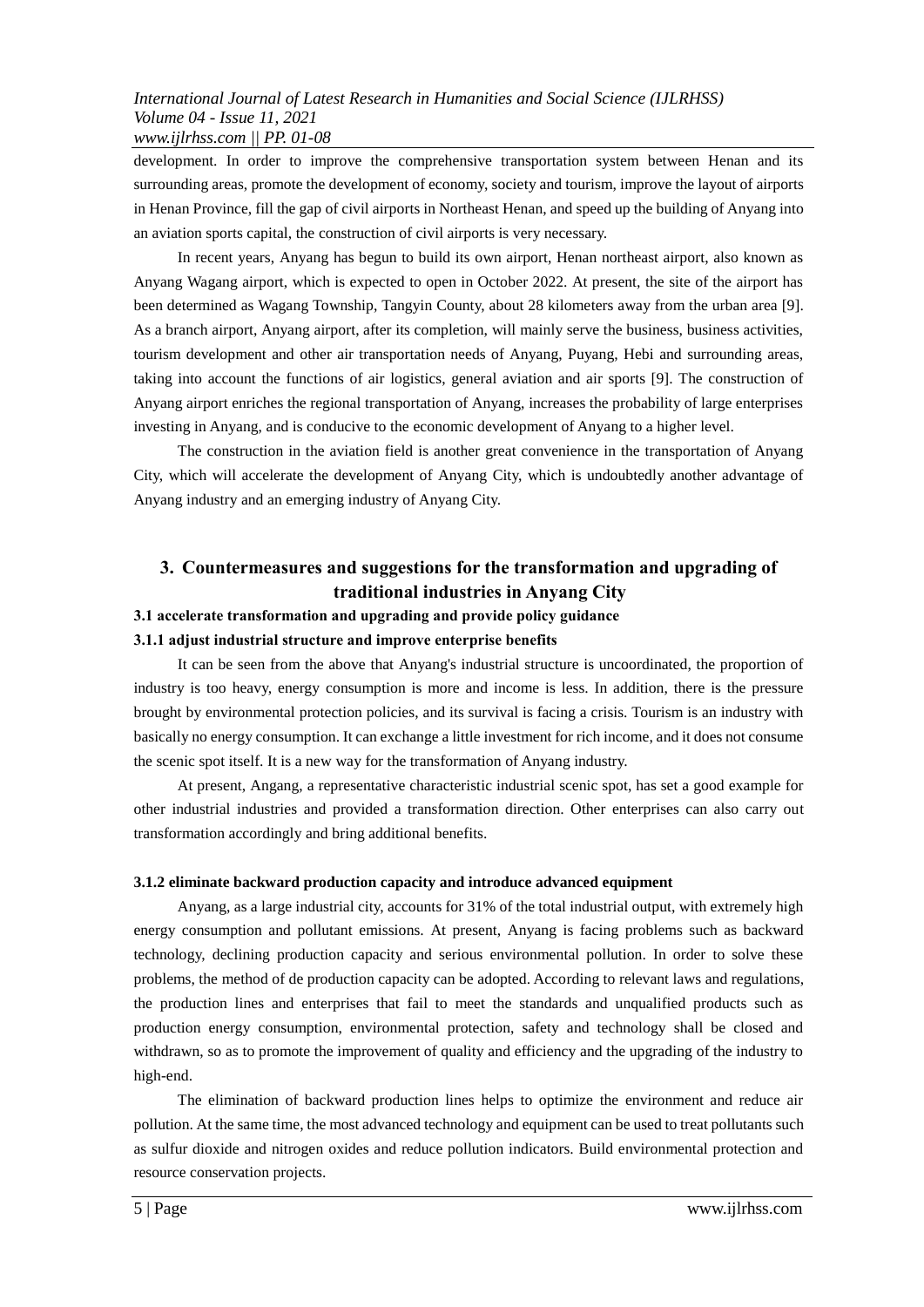development. In order to improve the comprehensive transportation system between Henan and its surrounding areas, promote the development of economy, society and tourism, improve the layout of airports in Henan Province, fill the gap of civil airports in Northeast Henan, and speed up the building of Anyang into an aviation sports capital, the construction of civil airports is very necessary.

In recent years, Anyang has begun to build its own airport, Henan northeast airport, also known as Anyang Wagang airport, which is expected to open in October 2022. At present, the site of the airport has been determined as Wagang Township, Tangyin County, about 28 kilometers away from the urban area [9]. As a branch airport, Anyang airport, after its completion, will mainly serve the business, business activities, tourism development and other air transportation needs of Anyang, Puyang, Hebi and surrounding areas, taking into account the functions of air logistics, general aviation and air sports [9]. The construction of Anyang airport enriches the regional transportation of Anyang, increases the probability of large enterprises investing in Anyang, and is conducive to the economic development of Anyang to a higher level.

The construction in the aviation field is another great convenience in the transportation of Anyang City, which will accelerate the development of Anyang City, which is undoubtedly another advantage of Anyang industry and an emerging industry of Anyang City.

## **3. Countermeasures and suggestions for the transformation and upgrading of traditional industries in Anyang City**

## **3.1 accelerate transformation and upgrading and provide policy guidance**

#### **3.1.1 adjust industrial structure and improve enterprise benefits**

It can be seen from the above that Anyang's industrial structure is uncoordinated, the proportion of industry is too heavy, energy consumption is more and income is less. In addition, there is the pressure brought by environmental protection policies, and its survival is facing a crisis. Tourism is an industry with basically no energy consumption. It can exchange a little investment for rich income, and it does not consume the scenic spot itself. It is a new way for the transformation of Anyang industry.

At present, Angang, a representative characteristic industrial scenic spot, has set a good example for other industrial industries and provided a transformation direction. Other enterprises can also carry out transformation accordingly and bring additional benefits.

#### **3.1.2 eliminate backward production capacity and introduce advanced equipment**

Anyang, as a large industrial city, accounts for 31% of the total industrial output, with extremely high energy consumption and pollutant emissions. At present, Anyang is facing problems such as backward technology, declining production capacity and serious environmental pollution. In order to solve these problems, the method of de production capacity can be adopted. According to relevant laws and regulations, the production lines and enterprises that fail to meet the standards and unqualified products such as production energy consumption, environmental protection, safety and technology shall be closed and withdrawn, so as to promote the improvement of quality and efficiency and the upgrading of the industry to high-end.

The elimination of backward production lines helps to optimize the environment and reduce air pollution. At the same time, the most advanced technology and equipment can be used to treat pollutants such as sulfur dioxide and nitrogen oxides and reduce pollution indicators. Build environmental protection and resource conservation projects.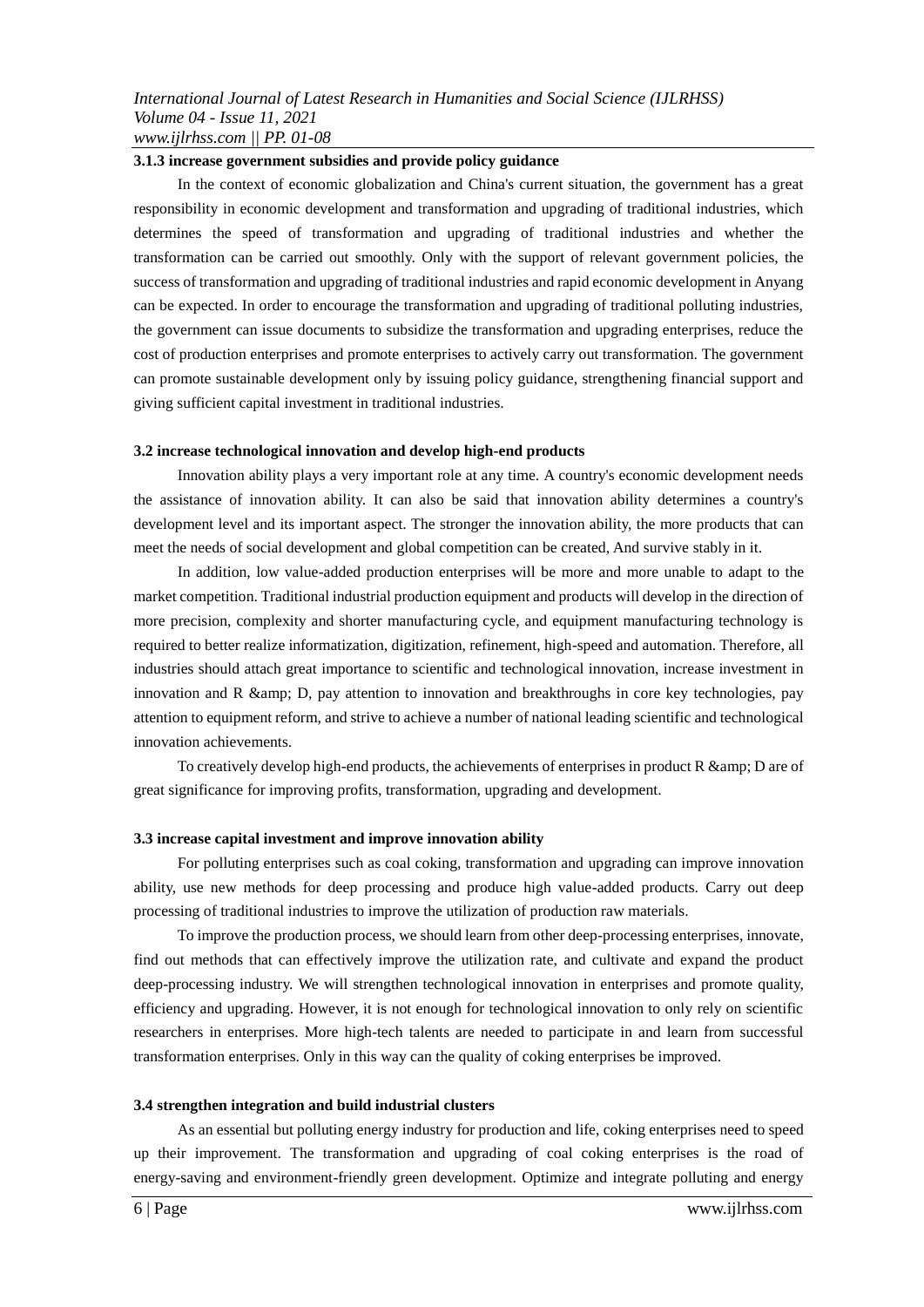#### **3.1.3 increase government subsidies and provide policy guidance**

In the context of economic globalization and China's current situation, the government has a great responsibility in economic development and transformation and upgrading of traditional industries, which determines the speed of transformation and upgrading of traditional industries and whether the transformation can be carried out smoothly. Only with the support of relevant government policies, the success of transformation and upgrading of traditional industries and rapid economic development in Anyang can be expected. In order to encourage the transformation and upgrading of traditional polluting industries, the government can issue documents to subsidize the transformation and upgrading enterprises, reduce the cost of production enterprises and promote enterprises to actively carry out transformation. The government can promote sustainable development only by issuing policy guidance, strengthening financial support and giving sufficient capital investment in traditional industries.

#### **3.2 increase technological innovation and develop high-end products**

Innovation ability plays a very important role at any time. A country's economic development needs the assistance of innovation ability. It can also be said that innovation ability determines a country's development level and its important aspect. The stronger the innovation ability, the more products that can meet the needs of social development and global competition can be created, And survive stably in it.

In addition, low value-added production enterprises will be more and more unable to adapt to the market competition. Traditional industrial production equipment and products will develop in the direction of more precision, complexity and shorter manufacturing cycle, and equipment manufacturing technology is required to better realize informatization, digitization, refinement, high-speed and automation. Therefore, all industries should attach great importance to scientific and technological innovation, increase investment in innovation and R  $\&$ amp; D, pay attention to innovation and breakthroughs in core key technologies, pay attention to equipment reform, and strive to achieve a number of national leading scientific and technological innovation achievements.

To creatively develop high-end products, the achievements of enterprises in product  $R$  &  $amp;$ nm;  $D$  are of great significance for improving profits, transformation, upgrading and development.

#### **3.3 increase capital investment and improve innovation ability**

For polluting enterprises such as coal coking, transformation and upgrading can improve innovation ability, use new methods for deep processing and produce high value-added products. Carry out deep processing of traditional industries to improve the utilization of production raw materials.

To improve the production process, we should learn from other deep-processing enterprises, innovate, find out methods that can effectively improve the utilization rate, and cultivate and expand the product deep-processing industry. We will strengthen technological innovation in enterprises and promote quality, efficiency and upgrading. However, it is not enough for technological innovation to only rely on scientific researchers in enterprises. More high-tech talents are needed to participate in and learn from successful transformation enterprises. Only in this way can the quality of coking enterprises be improved.

#### **3.4 strengthen integration and build industrial clusters**

As an essential but polluting energy industry for production and life, coking enterprises need to speed up their improvement. The transformation and upgrading of coal coking enterprises is the road of energy-saving and environment-friendly green development. Optimize and integrate polluting and energy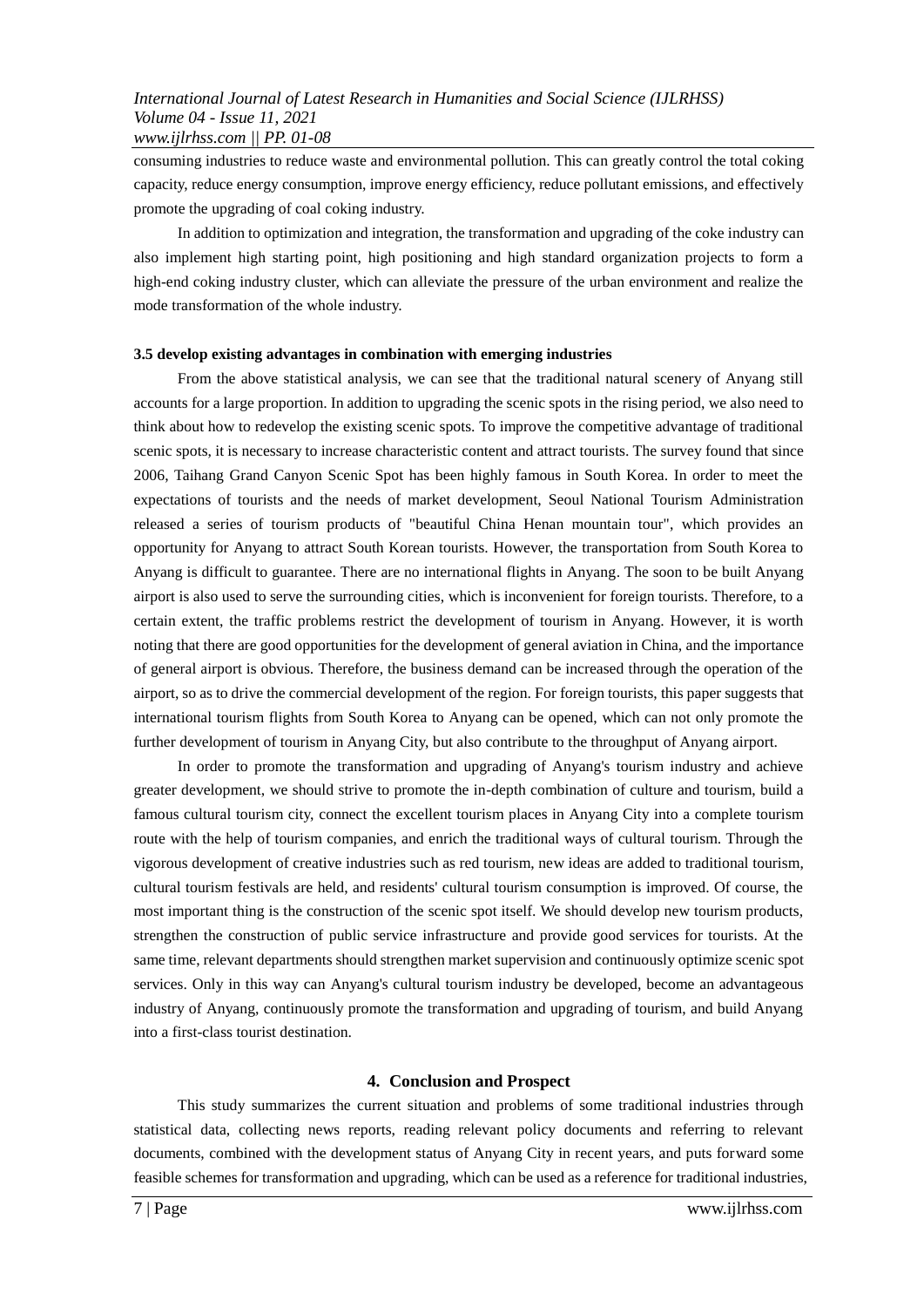consuming industries to reduce waste and environmental pollution. This can greatly control the total coking capacity, reduce energy consumption, improve energy efficiency, reduce pollutant emissions, and effectively promote the upgrading of coal coking industry.

In addition to optimization and integration, the transformation and upgrading of the coke industry can also implement high starting point, high positioning and high standard organization projects to form a high-end coking industry cluster, which can alleviate the pressure of the urban environment and realize the mode transformation of the whole industry.

## **3.5 develop existing advantages in combination with emerging industries**

From the above statistical analysis, we can see that the traditional natural scenery of Anyang still accounts for a large proportion. In addition to upgrading the scenic spots in the rising period, we also need to think about how to redevelop the existing scenic spots. To improve the competitive advantage of traditional scenic spots, it is necessary to increase characteristic content and attract tourists. The survey found that since 2006, Taihang Grand Canyon Scenic Spot has been highly famous in South Korea. In order to meet the expectations of tourists and the needs of market development, Seoul National Tourism Administration released a series of tourism products of "beautiful China Henan mountain tour", which provides an opportunity for Anyang to attract South Korean tourists. However, the transportation from South Korea to Anyang is difficult to guarantee. There are no international flights in Anyang. The soon to be built Anyang airport is also used to serve the surrounding cities, which is inconvenient for foreign tourists. Therefore, to a certain extent, the traffic problems restrict the development of tourism in Anyang. However, it is worth noting that there are good opportunities for the development of general aviation in China, and the importance of general airport is obvious. Therefore, the business demand can be increased through the operation of the airport, so as to drive the commercial development of the region. For foreign tourists, this paper suggests that international tourism flights from South Korea to Anyang can be opened, which can not only promote the further development of tourism in Anyang City, but also contribute to the throughput of Anyang airport.

In order to promote the transformation and upgrading of Anyang's tourism industry and achieve greater development, we should strive to promote the in-depth combination of culture and tourism, build a famous cultural tourism city, connect the excellent tourism places in Anyang City into a complete tourism route with the help of tourism companies, and enrich the traditional ways of cultural tourism. Through the vigorous development of creative industries such as red tourism, new ideas are added to traditional tourism, cultural tourism festivals are held, and residents' cultural tourism consumption is improved. Of course, the most important thing is the construction of the scenic spot itself. We should develop new tourism products, strengthen the construction of public service infrastructure and provide good services for tourists. At the same time, relevant departments should strengthen market supervision and continuously optimize scenic spot services. Only in this way can Anyang's cultural tourism industry be developed, become an advantageous industry of Anyang, continuously promote the transformation and upgrading of tourism, and build Anyang into a first-class tourist destination.

## **4. Conclusion and Prospect**

This study summarizes the current situation and problems of some traditional industries through statistical data, collecting news reports, reading relevant policy documents and referring to relevant documents, combined with the development status of Anyang City in recent years, and puts forward some feasible schemes for transformation and upgrading, which can be used as a reference for traditional industries,